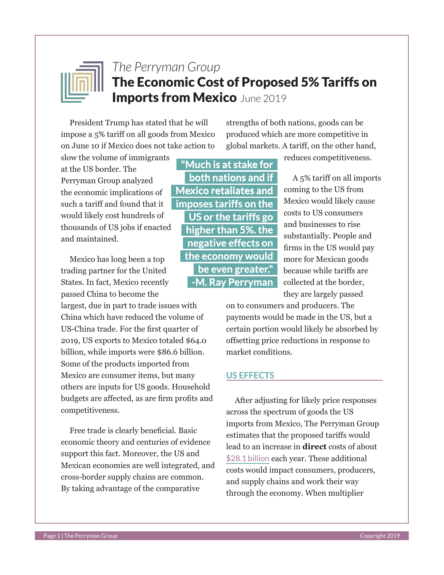

# *The Perryman Group* The Economic Cost of Proposed 5% Tariffs on **Imports from Mexico June 2019**

President Trump has stated that he will impose a 5% tariff on all goods from Mexico on June 10 if Mexico does not take action to

strengths of both nations, goods can be produced which are more competitive in global markets. A tariff, on the other hand,

slow the volume of immigrants at the US border. The Perryman Group analyzed the economic implications of such a tariff and found that it would likely cost hundreds of thousands of US jobs if enacted and maintained.

Mexico has long been a top trading partner for the United States. In fact, Mexico recently passed China to become the

largest, due in part to trade issues with China which have reduced the volume of US-China trade. For the first quarter of 2019, US exports to Mexico totaled \$64.0 billion, while imports were \$86.6 billion. Some of the products imported from Mexico are consumer items, but many others are inputs for US goods. Household budgets are affected, as are firm profits and competitiveness.

Free trade is clearly beneficial. Basic economic theory and centuries of evidence support this fact. Moreover, the US and Mexican economies are well integrated, and cross-border supply chains are common. By taking advantage of the comparative

**"Much is at stake for both nations and if Mexico retaliates and imposes tariffs on the US or the tariffs go higher than 5%. the negative effects on the economy would be even greater." -M. Ray Perryman** reduces competitiveness.

A 5% tariff on all imports coming to the US from Mexico would likely cause costs to US consumers and businesses to rise substantially. People and firms in the US would pay more for Mexican goods because while tariffs are collected at the border, they are largely passed

on to consumers and producers. The payments would be made in the US, but a certain portion would likely be absorbed by offsetting price reductions in response to market conditions.

#### **US EFFECTS**

After adjusting for likely price responses across the spectrum of goods the US imports from Mexico, The Perryman Group estimates that the proposed tariffs would lead to an increase in **direct** costs of about \$28.1 billion each year. These additional costs would impact consumers, producers, and supply chains and work their way through the economy. When multiplier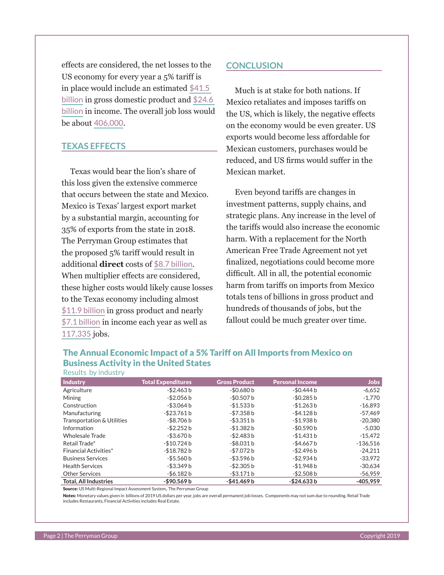effects are considered, the net losses to the US economy for every year a 5% tariff is in place would include an estimated \$41.5 billion in gross domestic product and \$24.6 billion in income. The overall job loss would be about 406,000.

#### **TEXAS EFFECTS**

Texas would bear the lion's share of this loss given the extensive commerce that occurs between the state and Mexico. Mexico is Texas' largest export market by a substantial margin, accounting for 35% of exports from the state in 2018. The Perryman Group estimates that the proposed 5% tariff would result in additional **direct** costs of \$8.7 billion. When multiplier effects are considered, these higher costs would likely cause losses to the Texas economy including almost \$11.9 billion in gross product and nearly \$7.1 billion in income each year as well as 117,335 jobs.

#### **CONCLUSION**

Much is at stake for both nations. If Mexico retaliates and imposes tariffs on the US, which is likely, the negative effects on the economy would be even greater. US exports would become less affordable for Mexican customers, purchases would be reduced, and US firms would suffer in the Mexican market.

Even beyond tariffs are changes in investment patterns, supply chains, and strategic plans. Any increase in the level of the tariffs would also increase the economic harm. With a replacement for the North American Free Trade Agreement not yet finalized, negotiations could become more difficult. All in all, the potential economic harm from tariffs on imports from Mexico totals tens of billions in gross product and hundreds of thousands of jobs, but the fallout could be much greater over time.

#### The Annual Economic Impact of a 5% Tariff on All Imports from Mexico on Business Activity in the United States Results by industry

| RESULTS DY INGUSTIV          |                           |                      |                        |            |
|------------------------------|---------------------------|----------------------|------------------------|------------|
| <b>Industry</b>              | <b>Total Expenditures</b> | <b>Gross Product</b> | <b>Personal Income</b> | Jobs       |
| Agriculture                  | $-$ \$2.463 b             | $-$0.680 b$          | -\$0.444 b             | $-6,652$   |
| <b>Mining</b>                | $-$ \$2.056 b             | $-$0.507 b$          | $-$ \$0.285 b          | $-1.770$   |
| Construction                 | $-$ \$3.064 b             | $-$1.533 b$          | $-$1.263 b$            | $-16,893$  |
| Manufacturing                | $-$ \$23.761 b            | $-57.358 b$          | -\$4.128 b             | $-57.469$  |
| Transportation & Utilities   | -\$8.706 b                | $-$ \$3.351 b        | -\$1.938 b             | $-20.380$  |
| Information                  | $-$ \$2.252 b             | $-$1.382 b$          | $-$0.590 b$            | $-5.030$   |
| <b>Wholesale Trade</b>       | $-$ \$3.670 b             | -\$2.483 b           | $-$1.431 b$            | $-15.472$  |
| Retail Trade*                | $-$10.724 b$              | $-$ \$8.031 b        | -\$4.667 b             | $-136.516$ |
| <b>Financial Activities*</b> | $-$18.782 b$              | -\$7.072 b           | -\$2.496 b             | $-24.211$  |
| <b>Business Services</b>     | $-$ \$5.560 b             | -\$3.596 b           | -\$2.934 b             | $-33,972$  |
| <b>Health Services</b>       | -\$3.349 b                | $-$ \$2.305 b        | -\$1.948 b             | $-30.634$  |
| <b>Other Services</b>        | $-$ \$6.182 b             | $-$ \$3.171 b        | $-$ \$2.508 b          | $-56.959$  |
| <b>Total. All Industries</b> | $-$ \$90.569 b            | $-$41.469 b$         | $-$ \$24.633 b         | $-405.959$ |

Source: US Multi-Regional Impact Assessment System,. The Perryman Group

Notes: Monetary values given in billions of 2019 US dollars per year, jobs are overall permanent job losses. Components may not sum due to rounding. Retail Trade includes Restaurants, Financial Activities includes Real Estate.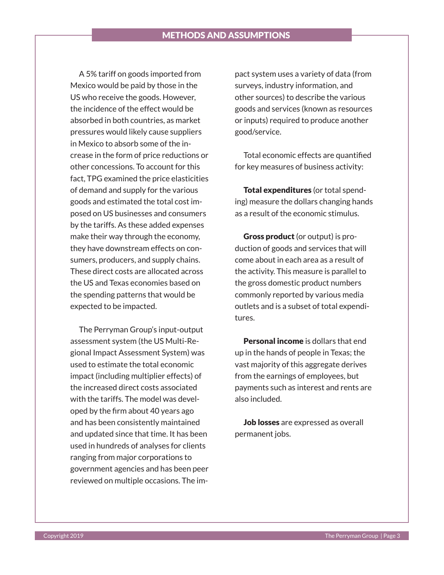## METHODS AND ASSUMPTIONS

A 5% tariff on goods imported from Mexico would be paid by those in the US who receive the goods. However, the incidence of the effect would be absorbed in both countries, as market pressures would likely cause suppliers in Mexico to absorb some of the increase in the form of price reductions or other concessions. To account for this fact, TPG examined the price elasticities of demand and supply for the various goods and estimated the total cost imposed on US businesses and consumers by the tariffs. As these added expenses make their way through the economy, they have downstream effects on consumers, producers, and supply chains. These direct costs are allocated across the US and Texas economies based on the spending patterns that would be expected to be impacted.

The Perryman Group's input-output assessment system (the US Multi-Regional Impact Assessment System) was used to estimate the total economic impact (including multiplier effects) of the increased direct costs associated with the tariffs. The model was developed by the firm about 40 years ago and has been consistently maintained and updated since that time. It has been used in hundreds of analyses for clients ranging from major corporations to government agencies and has been peer reviewed on multiple occasions. The impact system uses a variety of data (from surveys, industry information, and other sources) to describe the various goods and services (known as resources or inputs) required to produce another good/service.

Total economic effects are quantified for key measures of business activity:

Total expenditures (or total spending) measure the dollars changing hands as a result of the economic stimulus.

Gross product (or output) is production of goods and services that will come about in each area as a result of the activity. This measure is parallel to the gross domestic product numbers commonly reported by various media outlets and is a subset of total expenditures.

Personal income is dollars that end up in the hands of people in Texas; the vast majority of this aggregate derives from the earnings of employees, but payments such as interest and rents are also included.

Job losses are expressed as overall permanent jobs.